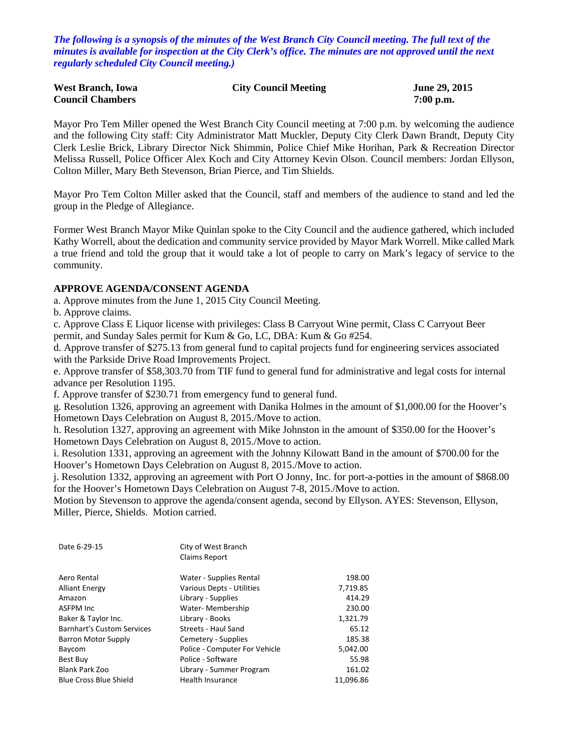*The following is a synopsis of the minutes of the West Branch City Council meeting. The full text of the minutes is available for inspection at the City Clerk's office. The minutes are not approved until the next regularly scheduled City Council meeting.)*

| <b>West Branch, Iowa</b> | <b>City Council Meeting</b> | June 29, 2015 |
|--------------------------|-----------------------------|---------------|
| <b>Council Chambers</b>  |                             | $7:00$ p.m.   |

Mayor Pro Tem Miller opened the West Branch City Council meeting at 7:00 p.m. by welcoming the audience and the following City staff: City Administrator Matt Muckler, Deputy City Clerk Dawn Brandt, Deputy City Clerk Leslie Brick, Library Director Nick Shimmin, Police Chief Mike Horihan, Park & Recreation Director Melissa Russell, Police Officer Alex Koch and City Attorney Kevin Olson. Council members: Jordan Ellyson, Colton Miller, Mary Beth Stevenson, Brian Pierce, and Tim Shields.

Mayor Pro Tem Colton Miller asked that the Council, staff and members of the audience to stand and led the group in the Pledge of Allegiance.

Former West Branch Mayor Mike Quinlan spoke to the City Council and the audience gathered, which included Kathy Worrell, about the dedication and community service provided by Mayor Mark Worrell. Mike called Mark a true friend and told the group that it would take a lot of people to carry on Mark's legacy of service to the community.

### **APPROVE AGENDA/CONSENT AGENDA**

a. Approve minutes from the June 1, 2015 City Council Meeting.

b. Approve claims.

c. Approve Class E Liquor license with privileges: Class B Carryout Wine permit, Class C Carryout Beer permit, and Sunday Sales permit for Kum & Go, LC, DBA: Kum & Go #254.

d. Approve transfer of \$275.13 from general fund to capital projects fund for engineering services associated with the Parkside Drive Road Improvements Project.

e. Approve transfer of \$58,303.70 from TIF fund to general fund for administrative and legal costs for internal advance per Resolution 1195.

f. Approve transfer of \$230.71 from emergency fund to general fund.

g. Resolution 1326, approving an agreement with Danika Holmes in the amount of \$1,000.00 for the Hoover's Hometown Days Celebration on August 8, 2015./Move to action.

h. Resolution 1327, approving an agreement with Mike Johnston in the amount of \$350.00 for the Hoover's Hometown Days Celebration on August 8, 2015./Move to action.

i. Resolution 1331, approving an agreement with the Johnny Kilowatt Band in the amount of \$700.00 for the Hoover's Hometown Days Celebration on August 8, 2015./Move to action.

j. Resolution 1332, approving an agreement with Port O Jonny, Inc. for port-a-potties in the amount of \$868.00 for the Hoover's Hometown Days Celebration on August 7-8, 2015./Move to action.

Motion by Stevenson to approve the agenda/consent agenda, second by Ellyson. AYES: Stevenson, Ellyson, Miller, Pierce, Shields. Motion carried.

| Date 6-29-15                      | City of West Branch           |           |
|-----------------------------------|-------------------------------|-----------|
|                                   | <b>Claims Report</b>          |           |
|                                   |                               |           |
| Aero Rental                       | Water - Supplies Rental       | 198.00    |
| <b>Alliant Energy</b>             | Various Depts - Utilities     | 7,719.85  |
| Amazon                            | Library - Supplies            | 414.29    |
| <b>ASFPM Inc</b>                  | Water- Membership             | 230.00    |
| Baker & Taylor Inc.               | Library - Books               | 1,321.79  |
| <b>Barnhart's Custom Services</b> | Streets - Haul Sand           | 65.12     |
| Barron Motor Supply               | Cemetery - Supplies           | 185.38    |
| Baycom                            | Police - Computer For Vehicle | 5,042.00  |
| Best Buy                          | Police - Software             | 55.98     |
| Blank Park Zoo                    | Library - Summer Program      | 161.02    |
| <b>Blue Cross Blue Shield</b>     | <b>Health Insurance</b>       | 11.096.86 |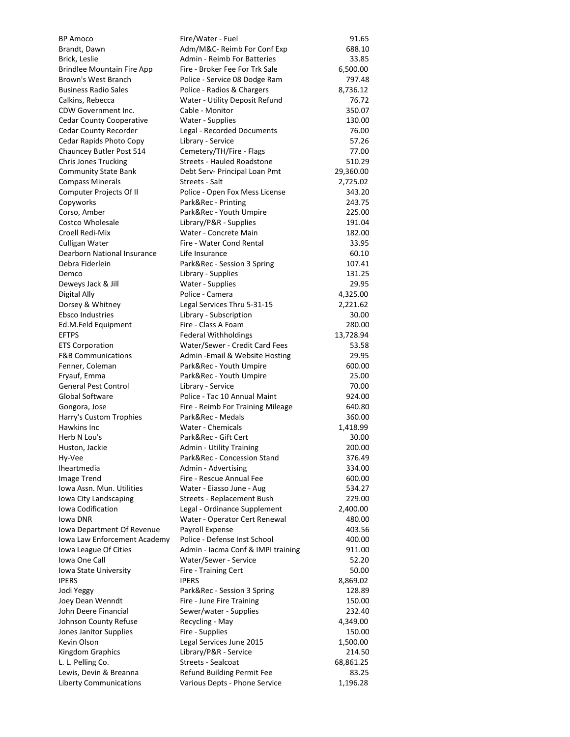| <b>BP Amoco</b>                               | Fire/Water - Fuel                  | 91.65     |
|-----------------------------------------------|------------------------------------|-----------|
| Brandt, Dawn                                  | Adm/M&C- Reimb For Conf Exp        | 688.10    |
| Brick, Leslie                                 | <b>Admin - Reimb For Batteries</b> | 33.85     |
| <b>Brindlee Mountain Fire App</b>             | Fire - Broker Fee For Trk Sale     | 6,500.00  |
| Brown's West Branch                           | Police - Service 08 Dodge Ram      | 797.48    |
| <b>Business Radio Sales</b>                   | Police - Radios & Chargers         | 8,736.12  |
| Calkins, Rebecca                              | Water - Utility Deposit Refund     | 76.72     |
| CDW Government Inc.                           | Cable - Monitor                    | 350.07    |
| <b>Cedar County Cooperative</b>               | Water - Supplies                   | 130.00    |
| Cedar County Recorder                         | Legal - Recorded Documents         | 76.00     |
| Cedar Rapids Photo Copy                       | Library - Service                  | 57.26     |
| Chauncey Butler Post 514                      | Cemetery/TH/Fire - Flags           | 77.00     |
| <b>Chris Jones Trucking</b>                   | <b>Streets - Hauled Roadstone</b>  | 510.29    |
| <b>Community State Bank</b>                   | Debt Serv- Principal Loan Pmt      | 29,360.00 |
| <b>Compass Minerals</b>                       | Streets - Salt                     | 2,725.02  |
| Computer Projects Of II                       | Police - Open Fox Mess License     | 343.20    |
| Copyworks                                     | Park&Rec - Printing                | 243.75    |
| Corso, Amber                                  | Park&Rec - Youth Umpire            | 225.00    |
| Costco Wholesale                              | Library/P&R - Supplies             | 191.04    |
| Croell Redi-Mix                               | Water - Concrete Main              | 182.00    |
|                                               |                                    |           |
| Culligan Water<br>Dearborn National Insurance | Fire - Water Cond Rental           | 33.95     |
|                                               | Life Insurance                     | 60.10     |
| Debra Fiderlein                               | Park&Rec - Session 3 Spring        | 107.41    |
| Demco                                         | Library - Supplies                 | 131.25    |
| Deweys Jack & Jill                            | Water - Supplies                   | 29.95     |
| Digital Ally                                  | Police - Camera                    | 4,325.00  |
| Dorsey & Whitney                              | Legal Services Thru 5-31-15        | 2,221.62  |
| <b>Ebsco Industries</b>                       | Library - Subscription             | 30.00     |
| Ed.M.Feld Equipment                           | Fire - Class A Foam                | 280.00    |
| <b>EFTPS</b>                                  | Federal Withholdings               | 13,728.94 |
| <b>ETS Corporation</b>                        | Water/Sewer - Credit Card Fees     | 53.58     |
| <b>F&amp;B Communications</b>                 | Admin - Email & Website Hosting    | 29.95     |
| Fenner, Coleman                               | Park&Rec - Youth Umpire            | 600.00    |
| Fryauf, Emma                                  | Park&Rec - Youth Umpire            | 25.00     |
| <b>General Pest Control</b>                   | Library - Service                  | 70.00     |
| Global Software                               | Police - Tac 10 Annual Maint       | 924.00    |
| Gongora, Jose                                 | Fire - Reimb For Training Mileage  | 640.80    |
| Harry's Custom Trophies                       | Park&Rec - Medals                  | 360.00    |
| Hawkins Inc                                   | Water - Chemicals                  | 1,418.99  |
| Herb N Lou's                                  | Park&Rec - Gift Cert               | 30.00     |
| Huston, Jackie                                | <b>Admin - Utility Training</b>    | 200.00    |
| Hy-Vee                                        | Park&Rec - Concession Stand        | 376.49    |
| Iheartmedia                                   | Admin - Advertising                | 334.00    |
| <b>Image Trend</b>                            | Fire - Rescue Annual Fee           | 600.00    |
| Iowa Assn. Mun. Utilities                     | Water - Eiasso June - Aug          | 534.27    |
| Iowa City Landscaping                         | Streets - Replacement Bush         | 229.00    |
| Iowa Codification                             | Legal - Ordinance Supplement       | 2,400.00  |
| Iowa DNR                                      | Water - Operator Cert Renewal      | 480.00    |
| Iowa Department Of Revenue                    | Payroll Expense                    | 403.56    |
| Iowa Law Enforcement Academy                  | Police - Defense Inst School       | 400.00    |
| Iowa League Of Cities                         | Admin - Iacma Conf & IMPI training | 911.00    |
| Iowa One Call                                 | Water/Sewer - Service              | 52.20     |
| Iowa State University                         | Fire - Training Cert               | 50.00     |
| <b>IPERS</b>                                  | <b>IPERS</b>                       | 8,869.02  |
| Jodi Yeggy                                    | Park&Rec - Session 3 Spring        | 128.89    |
| Joey Dean Wenndt                              | Fire - June Fire Training          | 150.00    |
| John Deere Financial                          | Sewer/water - Supplies             | 232.40    |
| Johnson County Refuse                         | Recycling - May                    | 4,349.00  |
| Jones Janitor Supplies                        | Fire - Supplies                    | 150.00    |
| Kevin Olson                                   | Legal Services June 2015           | 1,500.00  |
| Kingdom Graphics                              | Library/P&R - Service              | 214.50    |
| L. L. Pelling Co.                             | Streets - Sealcoat                 | 68,861.25 |
| Lewis, Devin & Breanna                        | Refund Building Permit Fee         | 83.25     |
| <b>Liberty Communications</b>                 | Various Depts - Phone Service      | 1,196.28  |
|                                               |                                    |           |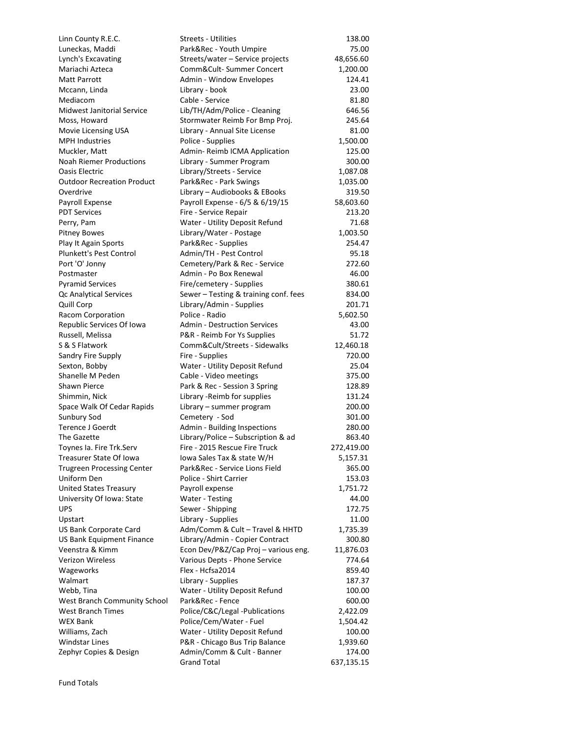| Linn County R.E.C.                | <b>Streets - Utilities</b>            | 138.00     |
|-----------------------------------|---------------------------------------|------------|
| Luneckas, Maddi                   | Park&Rec - Youth Umpire               | 75.00      |
| Lynch's Excavating                | Streets/water - Service projects      | 48,656.60  |
| Mariachi Azteca                   | Comm&Cult-Summer Concert              | 1,200.00   |
| Matt Parrott                      | Admin - Window Envelopes              | 124.41     |
| Mccann, Linda                     | Library - book                        | 23.00      |
| Mediacom                          | Cable - Service                       | 81.80      |
| Midwest Janitorial Service        | Lib/TH/Adm/Police - Cleaning          | 646.56     |
| Moss, Howard                      | Stormwater Reimb For Bmp Proj.        | 245.64     |
| Movie Licensing USA               | Library - Annual Site License         | 81.00      |
| <b>MPH Industries</b>             | Police - Supplies                     | 1,500.00   |
| Muckler, Matt                     | Admin-Reimb ICMA Application          | 125.00     |
| <b>Noah Riemer Productions</b>    | Library - Summer Program              | 300.00     |
| <b>Oasis Electric</b>             | Library/Streets - Service             | 1,087.08   |
| <b>Outdoor Recreation Product</b> | Park&Rec - Park Swings                | 1,035.00   |
| Overdrive                         | Library - Audiobooks & EBooks         | 319.50     |
| Payroll Expense                   | Payroll Expense - 6/5 & 6/19/15       | 58,603.60  |
| <b>PDT Services</b>               | Fire - Service Repair                 | 213.20     |
| Perry, Pam                        | Water - Utility Deposit Refund        | 71.68      |
| <b>Pitney Bowes</b>               | Library/Water - Postage               | 1,003.50   |
| Play It Again Sports              | Park&Rec - Supplies                   | 254.47     |
| Plunkett's Pest Control           | Admin/TH - Pest Control               | 95.18      |
| Port 'O' Jonny                    | Cemetery/Park & Rec - Service         | 272.60     |
| Postmaster                        | Admin - Po Box Renewal                | 46.00      |
| <b>Pyramid Services</b>           | Fire/cemetery - Supplies              | 380.61     |
| Qc Analytical Services            | Sewer - Testing & training conf. fees | 834.00     |
| Quill Corp                        | Library/Admin - Supplies              | 201.71     |
| Racom Corporation                 | Police - Radio                        | 5,602.50   |
| Republic Services Of Iowa         | <b>Admin - Destruction Services</b>   | 43.00      |
| Russell, Melissa                  | P&R - Reimb For Ys Supplies           | 51.72      |
| S & S Flatwork                    | Comm&Cult/Streets - Sidewalks         | 12,460.18  |
| Sandry Fire Supply                | Fire - Supplies                       | 720.00     |
| Sexton, Bobby                     | Water - Utility Deposit Refund        | 25.04      |
| Shanelle M Peden                  | Cable - Video meetings                | 375.00     |
| <b>Shawn Pierce</b>               | Park & Rec - Session 3 Spring         | 128.89     |
| Shimmin, Nick                     | Library - Reimb for supplies          | 131.24     |
| Space Walk Of Cedar Rapids        | Library - summer program              | 200.00     |
| Sunbury Sod                       | Cemetery - Sod                        | 301.00     |
| Terence J Goerdt                  | Admin - Building Inspections          | 280.00     |
| The Gazette                       | Library/Police - Subscription & ad    | 863.40     |
| Toynes Ia. Fire Trk.Serv          | Fire - 2015 Rescue Fire Truck         | 272,419.00 |
| Treasurer State Of Iowa           | Iowa Sales Tax & state W/H            | 5,157.31   |
| <b>Trugreen Processing Center</b> | Park&Rec - Service Lions Field        | 365.00     |
| Uniform Den                       | Police - Shirt Carrier                | 153.03     |
| United States Treasury            | Payroll expense                       | 1,751.72   |
| University Of Iowa: State         | Water - Testing                       | 44.00      |
| UPS                               | Sewer - Shipping                      | 172.75     |
| Upstart                           | Library - Supplies                    | 11.00      |
| US Bank Corporate Card            | Adm/Comm & Cult - Travel & HHTD       | 1,735.39   |
| US Bank Equipment Finance         | Library/Admin - Copier Contract       | 300.80     |
| Veenstra & Kimm                   | Econ Dev/P&Z/Cap Proj - various eng.  | 11,876.03  |
| Verizon Wireless                  | Various Depts - Phone Service         | 774.64     |
| Wageworks                         | Flex - Hcfsa2014                      | 859.40     |
| Walmart                           | Library - Supplies                    | 187.37     |
| Webb, Tina                        | Water - Utility Deposit Refund        | 100.00     |
| West Branch Community School      | Park&Rec - Fence                      | 600.00     |
| West Branch Times                 | Police/C&C/Legal -Publications        | 2,422.09   |
| WEX Bank                          | Police/Cem/Water - Fuel               | 1,504.42   |
| Williams, Zach                    | Water - Utility Deposit Refund        | 100.00     |
| Windstar Lines                    | P&R - Chicago Bus Trip Balance        | 1,939.60   |
| Zephyr Copies & Design            | Admin/Comm & Cult - Banner            | 174.00     |
|                                   | <b>Grand Total</b>                    | 637,135.15 |
|                                   |                                       |            |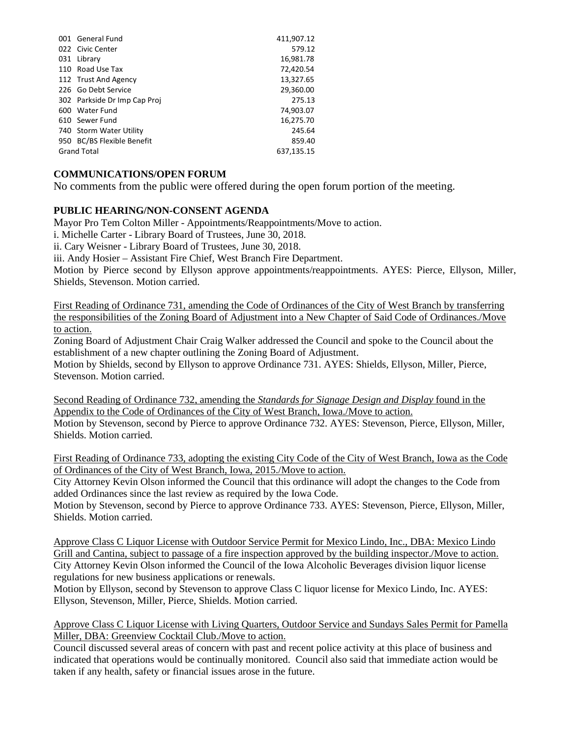| 001 General Fund             | 411,907.12 |
|------------------------------|------------|
| 022 Civic Center             | 579.12     |
| 031 Library                  | 16,981.78  |
| 110 Road Use Tax             | 72,420.54  |
| 112 Trust And Agency         | 13,327.65  |
| 226 Go Debt Service          | 29,360.00  |
| 302 Parkside Dr Imp Cap Proj | 275.13     |
| 600 Water Fund               | 74,903.07  |
| 610 Sewer Fund               | 16,275.70  |
| 740 Storm Water Utility      | 245.64     |
| 950 BC/BS Flexible Benefit   | 859.40     |
| <b>Grand Total</b>           | 637,135.15 |

# **COMMUNICATIONS/OPEN FORUM**

No comments from the public were offered during the open forum portion of the meeting.

# **PUBLIC HEARING/NON-CONSENT AGENDA**

Mayor Pro Tem Colton Miller - Appointments/Reappointments/Move to action.

i. Michelle Carter - Library Board of Trustees, June 30, 2018.

ii. Cary Weisner - Library Board of Trustees, June 30, 2018.

iii. Andy Hosier – Assistant Fire Chief, West Branch Fire Department.

Motion by Pierce second by Ellyson approve appointments/reappointments. AYES: Pierce, Ellyson, Miller, Shields, Stevenson. Motion carried.

First Reading of Ordinance 731, amending the Code of Ordinances of the City of West Branch by transferring the responsibilities of the Zoning Board of Adjustment into a New Chapter of Said Code of Ordinances./Move to action.

Zoning Board of Adjustment Chair Craig Walker addressed the Council and spoke to the Council about the establishment of a new chapter outlining the Zoning Board of Adjustment.

Motion by Shields, second by Ellyson to approve Ordinance 731. AYES: Shields, Ellyson, Miller, Pierce, Stevenson. Motion carried.

Second Reading of Ordinance 732, amending the *Standards for Signage Design and Display* found in the Appendix to the Code of Ordinances of the City of West Branch, Iowa./Move to action. Motion by Stevenson, second by Pierce to approve Ordinance 732. AYES: Stevenson, Pierce, Ellyson, Miller, Shields. Motion carried.

First Reading of Ordinance 733, adopting the existing City Code of the City of West Branch, Iowa as the Code of Ordinances of the City of West Branch, Iowa, 2015./Move to action.

City Attorney Kevin Olson informed the Council that this ordinance will adopt the changes to the Code from added Ordinances since the last review as required by the Iowa Code.

Motion by Stevenson, second by Pierce to approve Ordinance 733. AYES: Stevenson, Pierce, Ellyson, Miller, Shields. Motion carried.

Approve Class C Liquor License with Outdoor Service Permit for Mexico Lindo, Inc., DBA: Mexico Lindo Grill and Cantina, subject to passage of a fire inspection approved by the building inspector./Move to action. City Attorney Kevin Olson informed the Council of the Iowa Alcoholic Beverages division liquor license regulations for new business applications or renewals.

Motion by Ellyson, second by Stevenson to approve Class C liquor license for Mexico Lindo, Inc. AYES: Ellyson, Stevenson, Miller, Pierce, Shields. Motion carried.

### Approve Class C Liquor License with Living Quarters, Outdoor Service and Sundays Sales Permit for Pamella Miller, DBA: Greenview Cocktail Club./Move to action.

Council discussed several areas of concern with past and recent police activity at this place of business and indicated that operations would be continually monitored. Council also said that immediate action would be taken if any health, safety or financial issues arose in the future.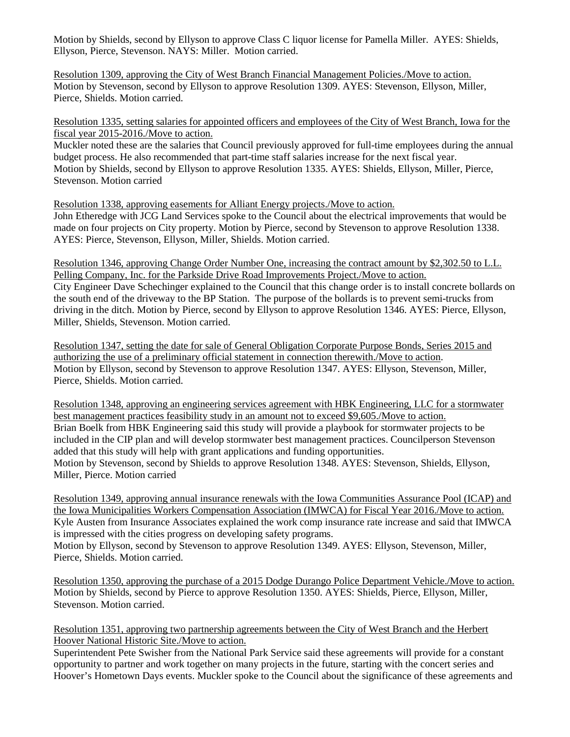Motion by Shields, second by Ellyson to approve Class C liquor license for Pamella Miller. AYES: Shields, Ellyson, Pierce, Stevenson. NAYS: Miller. Motion carried.

Resolution 1309, approving the City of West Branch Financial Management Policies./Move to action. Motion by Stevenson, second by Ellyson to approve Resolution 1309. AYES: Stevenson, Ellyson, Miller, Pierce, Shields. Motion carried.

Resolution 1335, setting salaries for appointed officers and employees of the City of West Branch, Iowa for the fiscal year 2015-2016./Move to action.

Muckler noted these are the salaries that Council previously approved for full-time employees during the annual budget process. He also recommended that part-time staff salaries increase for the next fiscal year. Motion by Shields, second by Ellyson to approve Resolution 1335. AYES: Shields, Ellyson, Miller, Pierce, Stevenson. Motion carried

Resolution 1338, approving easements for Alliant Energy projects./Move to action. John Etheredge with JCG Land Services spoke to the Council about the electrical improvements that would be made on four projects on City property. Motion by Pierce, second by Stevenson to approve Resolution 1338. AYES: Pierce, Stevenson, Ellyson, Miller, Shields. Motion carried.

Resolution 1346, approving Change Order Number One, increasing the contract amount by \$2,302.50 to L.L. Pelling Company, Inc. for the Parkside Drive Road Improvements Project./Move to action. City Engineer Dave Schechinger explained to the Council that this change order is to install concrete bollards on the south end of the driveway to the BP Station. The purpose of the bollards is to prevent semi-trucks from driving in the ditch. Motion by Pierce, second by Ellyson to approve Resolution 1346. AYES: Pierce, Ellyson, Miller, Shields, Stevenson. Motion carried.

Resolution 1347, setting the date for sale of General Obligation Corporate Purpose Bonds, Series 2015 and authorizing the use of a preliminary official statement in connection therewith./Move to action. Motion by Ellyson, second by Stevenson to approve Resolution 1347. AYES: Ellyson, Stevenson, Miller, Pierce, Shields. Motion carried.

Resolution 1348, approving an engineering services agreement with HBK Engineering, LLC for a stormwater best management practices feasibility study in an amount not to exceed \$9,605./Move to action. Brian Boelk from HBK Engineering said this study will provide a playbook for stormwater projects to be included in the CIP plan and will develop stormwater best management practices. Councilperson Stevenson added that this study will help with grant applications and funding opportunities. Motion by Stevenson, second by Shields to approve Resolution 1348. AYES: Stevenson, Shields, Ellyson, Miller, Pierce. Motion carried

Resolution 1349, approving annual insurance renewals with the Iowa Communities Assurance Pool (ICAP) and the Iowa Municipalities Workers Compensation Association (IMWCA) for Fiscal Year 2016./Move to action. Kyle Austen from Insurance Associates explained the work comp insurance rate increase and said that IMWCA is impressed with the cities progress on developing safety programs. Motion by Ellyson, second by Stevenson to approve Resolution 1349. AYES: Ellyson, Stevenson, Miller,

Pierce, Shields. Motion carried.

Resolution 1350, approving the purchase of a 2015 Dodge Durango Police Department Vehicle./Move to action. Motion by Shields, second by Pierce to approve Resolution 1350. AYES: Shields, Pierce, Ellyson, Miller, Stevenson. Motion carried.

Resolution 1351, approving two partnership agreements between the City of West Branch and the Herbert Hoover National Historic Site./Move to action.

Superintendent Pete Swisher from the National Park Service said these agreements will provide for a constant opportunity to partner and work together on many projects in the future, starting with the concert series and Hoover's Hometown Days events. Muckler spoke to the Council about the significance of these agreements and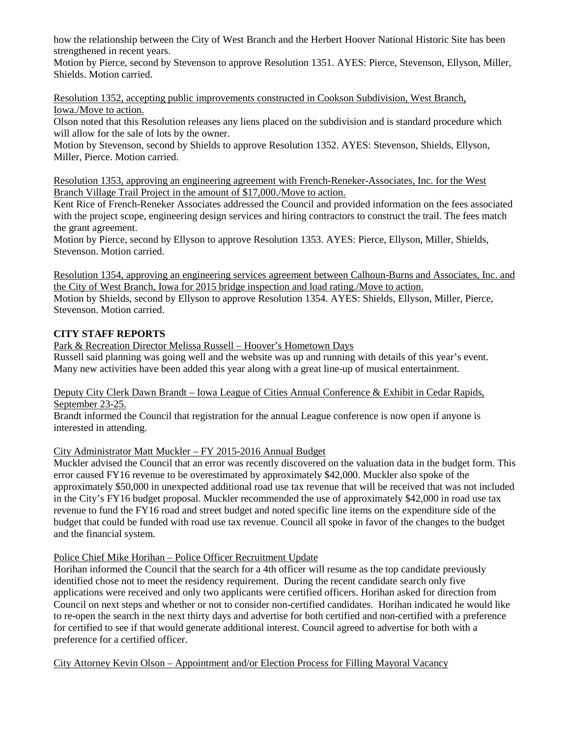how the relationship between the City of West Branch and the Herbert Hoover National Historic Site has been strengthened in recent years.

Motion by Pierce, second by Stevenson to approve Resolution 1351. AYES: Pierce, Stevenson, Ellyson, Miller, Shields. Motion carried.

Resolution 1352, accepting public improvements constructed in Cookson Subdivision, West Branch, Iowa./Move to action.

Olson noted that this Resolution releases any liens placed on the subdivision and is standard procedure which will allow for the sale of lots by the owner.

Motion by Stevenson, second by Shields to approve Resolution 1352. AYES: Stevenson, Shields, Ellyson, Miller, Pierce. Motion carried.

Resolution 1353, approving an engineering agreement with French-Reneker-Associates, Inc. for the West Branch Village Trail Project in the amount of \$17,000./Move to action.

Kent Rice of French-Reneker Associates addressed the Council and provided information on the fees associated with the project scope, engineering design services and hiring contractors to construct the trail. The fees match the grant agreement.

Motion by Pierce, second by Ellyson to approve Resolution 1353. AYES: Pierce, Ellyson, Miller, Shields, Stevenson. Motion carried.

Resolution 1354, approving an engineering services agreement between Calhoun-Burns and Associates, Inc. and the City of West Branch, Iowa for 2015 bridge inspection and load rating./Move to action. Motion by Shields, second by Ellyson to approve Resolution 1354. AYES: Shields, Ellyson, Miller, Pierce, Stevenson. Motion carried.

# **CITY STAFF REPORTS**

Park & Recreation Director Melissa Russell – Hoover's Hometown Days Russell said planning was going well and the website was up and running with details of this year's event. Many new activities have been added this year along with a great line-up of musical entertainment.

### Deputy City Clerk Dawn Brandt – Iowa League of Cities Annual Conference & Exhibit in Cedar Rapids, September 23-25.

Brandt informed the Council that registration for the annual League conference is now open if anyone is interested in attending.

City Administrator Matt Muckler – FY 2015-2016 Annual Budget

Muckler advised the Council that an error was recently discovered on the valuation data in the budget form. This error caused FY16 revenue to be overestimated by approximately \$42,000. Muckler also spoke of the approximately \$50,000 in unexpected additional road use tax revenue that will be received that was not included in the City's FY16 budget proposal. Muckler recommended the use of approximately \$42,000 in road use tax revenue to fund the FY16 road and street budget and noted specific line items on the expenditure side of the budget that could be funded with road use tax revenue. Council all spoke in favor of the changes to the budget and the financial system.

# Police Chief Mike Horihan – Police Officer Recruitment Update

Horihan informed the Council that the search for a 4th officer will resume as the top candidate previously identified chose not to meet the residency requirement. During the recent candidate search only five applications were received and only two applicants were certified officers. Horihan asked for direction from Council on next steps and whether or not to consider non-certified candidates. Horihan indicated he would like to re-open the search in the next thirty days and advertise for both certified and non-certified with a preference for certified to see if that would generate additional interest. Council agreed to advertise for both with a preference for a certified officer.

City Attorney Kevin Olson – Appointment and/or Election Process for Filling Mayoral Vacancy